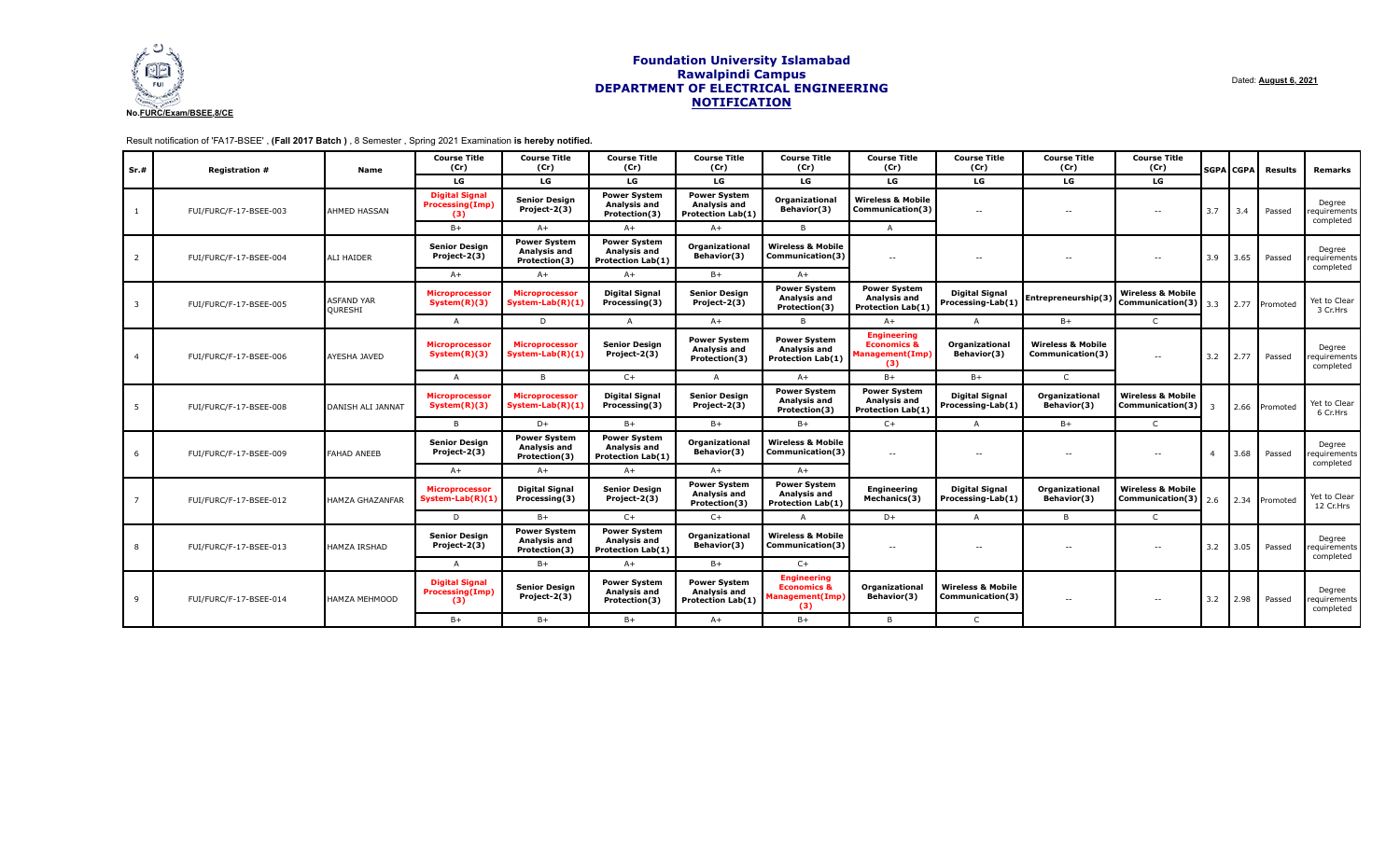

Dated: **August 6, 2021**

# Result notification of 'FA17-BSEE' , **(Fall 2017 Batch )** , 8 Semester , Spring 2021 Examination **is hereby notified.**

| Sr.#                    | <b>Registration #</b>  | Name                                | <b>Course Title</b><br>(Cr)                            | <b>Course Title</b><br>(Cr)                          | <b>Course Title</b><br>(Cr)                                     | <b>Course Title</b><br>(Cr)                                            | <b>Course Title</b><br>(Cr)                                            | <b>Course Title</b><br>(Cr)                                            | <b>Course Title</b><br>(Cr)                      | <b>Course Title</b><br>(Cr)                      | <b>Course Title</b><br>(Cr)                                        |     | <b>SGPA CGPA</b> | Results       | Remarks                             |     |     |        |                                    |
|-------------------------|------------------------|-------------------------------------|--------------------------------------------------------|------------------------------------------------------|-----------------------------------------------------------------|------------------------------------------------------------------------|------------------------------------------------------------------------|------------------------------------------------------------------------|--------------------------------------------------|--------------------------------------------------|--------------------------------------------------------------------|-----|------------------|---------------|-------------------------------------|-----|-----|--------|------------------------------------|
|                         |                        |                                     | LG                                                     | LG                                                   | LG                                                              | LG                                                                     | LG                                                                     | LG                                                                     | LG                                               | LG                                               | LG                                                                 |     |                  |               |                                     |     |     |        |                                    |
| 1                       | FUI/FURC/F-17-BSEE-003 | AHMED HASSAN                        | <b>Digital Signal</b><br><b>Processing(Imp)</b><br>(3) | <b>Senior Design</b><br>Project-2(3)                 | <b>Power System</b><br>Analysis and<br>Protection(3)            | <b>Power System</b><br>Analysis and<br><b>Protection Lab(1)</b>        | Organizational<br>Behavior(3)                                          | <b>Wireless &amp; Mobile</b><br>Communication(3)                       | $\sim$ $-$                                       |                                                  |                                                                    |     |                  | $\sim$ $-$    | $-$                                 | 3.7 | 3.4 | Passed | Degree<br>equirements<br>completed |
|                         |                        |                                     | $B+$                                                   | $A+$                                                 | $A+$                                                            | $A+$                                                                   | B                                                                      | $\overline{A}$                                                         |                                                  |                                                  |                                                                    |     |                  |               |                                     |     |     |        |                                    |
| $\overline{2}$          | FUI/FURC/F-17-BSEE-004 | <b>ALI HAIDER</b>                   | <b>Senior Design</b><br>Project-2(3)                   | <b>Power System</b><br>Analysis and<br>Protection(3) | <b>Power System</b><br>Analysis and<br><b>Protection Lab(1)</b> | Organizational<br>Behavior(3)                                          | <b>Wireless &amp; Mobile</b><br>Communication(3)                       | $\sim$ $\sim$                                                          | $\sim$ $-$                                       | $\sim$                                           | $\sim$                                                             | 3.9 | 3.65             | Passed        | Degree<br>requirements<br>completed |     |     |        |                                    |
|                         |                        |                                     | $A+$                                                   | $A+$                                                 | $A+$                                                            | $B+$                                                                   | $A+$                                                                   |                                                                        |                                                  |                                                  |                                                                    |     |                  |               |                                     |     |     |        |                                    |
| $\overline{\mathbf{3}}$ | FUI/FURC/F-17-BSEE-005 | <b>ASFAND YAR</b><br><b>OURESHI</b> | Microprocessor<br>System(R)(3)                         | <b>Microprocessor</b><br>System-Lab(R)(1)            | <b>Digital Signal</b><br>Processing(3)                          | <b>Senior Design</b><br>Project-2(3)                                   | <b>Power System</b><br>Analysis and<br>Protection(3)                   | <b>Power System</b><br>Analysis and<br><b>Protection Lab(1)</b>        | <b>Digital Signal</b><br>Processing-Lab(1)       | Entrepreneurship(3)                              | <b>Wireless &amp; Mobile</b><br>Communication(3) $3.3$             |     |                  | 2.77 Promoted | Yet to Clear<br>3 Cr.Hrs            |     |     |        |                                    |
|                         |                        |                                     | $\mathsf{A}$                                           | D                                                    | $\overline{A}$                                                  | $A+$                                                                   | $\mathbf{B}$                                                           | $A+$                                                                   | $\overline{A}$                                   | $B+$                                             | $\mathsf{C}$                                                       |     |                  |               |                                     |     |     |        |                                    |
| $\overline{a}$          | FUI/FURC/F-17-BSEE-006 | <b>AYESHA JAVED</b>                 | <b>Microprocessor</b><br>System(R)(3)                  | <b>Microprocessor</b><br>System-Lab(R)(1)            | <b>Senior Design</b><br>Project-2(3)                            | <b>Power System</b><br>Analysis and<br>Protection(3)                   | <b>Power System</b><br><b>Analysis and</b><br><b>Protection Lab(1)</b> | <b>Engineering</b><br><b>Economics &amp;</b><br>lanagement(Imp)<br>(3) | Organizational<br>Behavior(3)                    | <b>Wireless &amp; Mobile</b><br>Communication(3) | $\sim$                                                             | 3.2 | 2.77             | Passed        | Degree<br>requirements<br>completed |     |     |        |                                    |
|                         |                        |                                     | $\mathsf{A}$                                           | B                                                    | $C++$                                                           | $\mathsf{A}$                                                           | $A+$                                                                   | $B +$                                                                  | $B+$                                             | $\mathsf{C}$                                     |                                                                    |     |                  |               |                                     |     |     |        |                                    |
| 5                       | FUI/FURC/F-17-BSEE-008 | DANISH ALI JANNAT                   | <b>Microprocessor</b><br>System(R)(3)                  | <b>Microprocessor</b><br>System-Lab(R)(1)            | <b>Digital Signal</b><br>Processing(3)                          | <b>Senior Design</b><br>Project-2(3)                                   | <b>Power System</b><br><b>Analysis and</b><br>Protection(3)            | <b>Power System</b><br>Analysis and<br><b>Protection Lab(1)</b>        | <b>Digital Signal</b><br>Processing-Lab(1)       | Organizational<br>Behavior(3)                    | <b>Wireless &amp; Mobile</b><br>Communication(3)                   |     |                  | 2.66 Promoted | Yet to Clear<br>6 Cr.Hrs            |     |     |        |                                    |
|                         |                        |                                     | B                                                      | D+                                                   | $B+$                                                            | $B+$                                                                   | $B+$                                                                   | $C+$                                                                   | $\overline{A}$                                   | $B+$                                             | $\mathsf{C}$                                                       |     |                  |               |                                     |     |     |        |                                    |
| 6                       | FUI/FURC/F-17-BSEE-009 | <b>FAHAD ANEEB</b>                  | <b>Senior Design</b><br>Project-2(3)                   | <b>Power System</b><br>Analysis and<br>Protection(3) | <b>Power System</b><br>Analysis and<br><b>Protection Lab(1)</b> | Organizational<br>Behavior(3)                                          | <b>Wireless &amp; Mobile</b><br>Communication(3)                       | $\sim$ $-$                                                             | $\sim$ $-$                                       | $\sim$ $-$                                       | $\sim$                                                             |     | 3.68             | Passed        | Degree<br>equirements<br>completed  |     |     |        |                                    |
|                         |                        |                                     | $A+$                                                   | $A+$                                                 | $A+$                                                            | $A+$                                                                   | $A+$                                                                   |                                                                        |                                                  |                                                  |                                                                    |     |                  |               |                                     |     |     |        |                                    |
|                         | FUI/FURC/F-17-BSEE-012 | HAMZA GHAZANFAR                     | <b>Microprocessor</b><br>System-Lab(R)(1)              | <b>Digital Signal</b><br>Processing(3)               | <b>Senior Design</b><br>Project-2(3)                            | <b>Power System</b><br><b>Analysis and</b><br>Protection(3)            | <b>Power System</b><br>Analysis and<br><b>Protection Lab(1)</b>        | <b>Engineering</b><br>Mechanics(3)                                     | <b>Digital Signal</b><br>Processing-Lab(1)       | Organizational<br>Behavior(3)                    | <b>Wireless &amp; Mobile</b><br>Communication(3) $\Big  2.6 \Big $ |     |                  | 2.34 Promoted | Yet to Clear<br>12 Cr.Hrs           |     |     |        |                                    |
|                         |                        |                                     | D                                                      | $B+$                                                 | $C++$                                                           | $C+$                                                                   | $\Delta$                                                               | D+                                                                     | $\overline{A}$                                   | B.                                               | $\mathsf{C}$                                                       |     |                  |               |                                     |     |     |        |                                    |
| 8                       | FUI/FURC/F-17-BSEE-013 | <b>HAMZA IRSHAD</b>                 | <b>Senior Design</b><br>Project-2(3)                   | <b>Power System</b><br>Analysis and<br>Protection(3) | <b>Power System</b><br>Analysis and<br>Protection Lab(1)        | Organizational<br>Behavior(3)                                          | <b>Wireless &amp; Mobile</b><br>Communication(3)                       | $\sim$ $\sim$                                                          | $\sim$ $-$                                       | $\sim$ $-$                                       | $\sim$                                                             | 3.2 | 3.05             | Passed        | Degree<br>requirements<br>completed |     |     |        |                                    |
|                         |                        |                                     | $\overline{A}$                                         | $B+$                                                 | $A+$                                                            | $B +$                                                                  | $C+$                                                                   |                                                                        |                                                  |                                                  |                                                                    |     |                  |               |                                     |     |     |        |                                    |
| 9                       | FUI/FURC/F-17-BSEE-014 | <b>HAMZA MEHMOOD</b>                | <b>Digital Signal</b><br><b>Processing(Imp)</b><br>(3) | <b>Senior Design</b><br>Project-2(3)                 | <b>Power System</b><br><b>Analysis and</b><br>Protection(3)     | <b>Power System</b><br><b>Analysis and</b><br><b>Protection Lab(1)</b> | <b>Engineering</b><br><b>Economics &amp;</b><br>anagement(Imp)<br>(3)  | Organizational<br><b>Behavior(3)</b>                                   | <b>Wireless &amp; Mobile</b><br>Communication(3) | $\sim$ $-$                                       | $\sim$                                                             | 3.2 | 2.98             | Passed        | Degree<br>requirements<br>completed |     |     |        |                                    |
|                         |                        |                                     | $B+$                                                   | $B+$                                                 | $B+$                                                            | $A+$                                                                   | $B+$                                                                   | B                                                                      | $\mathsf{C}$                                     |                                                  |                                                                    |     |                  |               |                                     |     |     |        |                                    |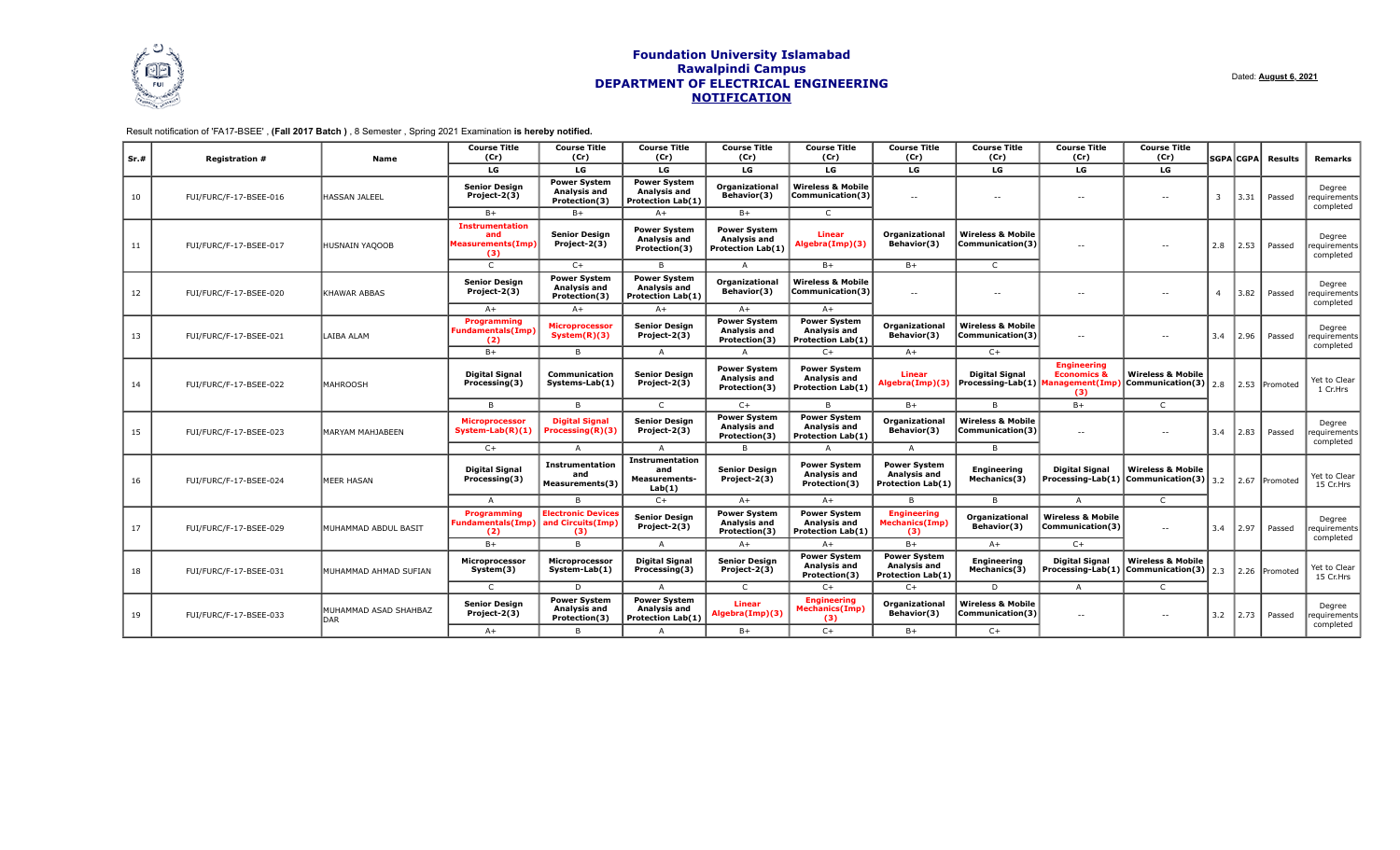

## Result notification of 'FA17-BSEE' , **(Fall 2017 Batch )** , 8 Semester , Spring 2021 Examination **is hereby notified.**

| Sr.# | <b>Registration #</b>  | <b>Name</b>                  | <b>Course Title</b><br>(Cr)                               | <b>Course Title</b><br>(Cr)                                 | <b>Course Title</b><br>(Cr)                                            | <b>Course Title</b><br>(Cr)                                 | <b>Course Title</b><br>(Cr)                                            | <b>Course Title</b><br>(Cr)                                            | <b>Course Title</b><br>(Cr)                                  | <b>Course Title</b><br>(Cr)                         | <b>Course Title</b><br>(Cr)                                                            |     | <b>SGPA</b> CGPA | Results       | Remarks                            |                |      |        |                                    |
|------|------------------------|------------------------------|-----------------------------------------------------------|-------------------------------------------------------------|------------------------------------------------------------------------|-------------------------------------------------------------|------------------------------------------------------------------------|------------------------------------------------------------------------|--------------------------------------------------------------|-----------------------------------------------------|----------------------------------------------------------------------------------------|-----|------------------|---------------|------------------------------------|----------------|------|--------|------------------------------------|
|      |                        |                              | LG                                                        | LG                                                          | LG                                                                     | LG                                                          | LG                                                                     | LG                                                                     | LG                                                           | LG                                                  | LG                                                                                     |     |                  |               |                                    |                |      |        |                                    |
| 10   | FUI/FURC/F-17-BSEE-016 | <b>HASSAN JALEEL</b>         | <b>Senior Design</b><br>Project-2(3)                      | <b>Power System</b><br><b>Analysis and</b><br>Protection(3) | <b>Power System</b><br><b>Analysis and</b><br><b>Protection Lab(1)</b> | Organizational<br>Behavior(3)                               | <b>Wireless &amp; Mobile</b><br>Communication(3)                       | $\sim$ $-$                                                             | $\sim$ $-$                                                   | $\sim$ $-$                                          | $\sim$ $\sim$                                                                          | -3  | 3.31             | Passed        | Degree<br>equirements<br>completed |                |      |        |                                    |
|      |                        |                              | $B+$                                                      | $B+$                                                        | $A+$                                                                   | $B+$                                                        |                                                                        |                                                                        |                                                              |                                                     |                                                                                        |     |                  |               |                                    |                |      |        |                                    |
| 11   | FUI/FURC/F-17-BSEE-017 | <b>HUSNAIN YAQOOB</b>        | <b>Instrumentation</b><br>and<br>Measurements(Imp)<br>(3) | <b>Senior Design</b><br>Project-2(3)                        | <b>Power System</b><br>Analysis and<br>Protection(3)                   | <b>Power System</b><br>Analysis and<br>Protection Lab(1)    | <b>Linear</b><br>Algebra(Imp)(3)                                       | Organizational<br>Behavior(3)                                          | <b>Wireless &amp; Mobile</b><br>Communication(3)             | $\sim$ $-$                                          | $\overline{\phantom{a}}$                                                               | 2.8 | 2.53             | Passed        | Degree<br>equirements<br>completed |                |      |        |                                    |
|      |                        |                              | $\mathsf{C}$                                              | $C+$                                                        | B.                                                                     | $\Delta$                                                    | $B+$                                                                   | $B+$                                                                   | $\mathsf{C}$                                                 |                                                     |                                                                                        |     |                  |               |                                    |                |      |        |                                    |
| 12   | FUI/FURC/F-17-BSEE-020 | KHAWAR ABBAS                 | <b>Senior Design</b><br>Project-2(3)                      | <b>Power System</b><br><b>Analysis and</b><br>Protection(3) | <b>Power System</b><br><b>Analysis and</b><br><b>Protection Lab(1)</b> | Organizational<br>Behavior(3)                               | <b>Wireless &amp; Mobile</b><br>Communication(3)                       | $\sim$ $-$                                                             | $\sim$ $-$                                                   |                                                     |                                                                                        |     |                  |               |                                    | $\overline{a}$ | 3.82 | Passed | Degree<br>equirements<br>completed |
|      |                        |                              | $A+$                                                      | $A+$                                                        | $A+$                                                                   | $A+$                                                        | $A+$                                                                   |                                                                        |                                                              |                                                     |                                                                                        |     |                  |               |                                    |                |      |        |                                    |
| 13   | FUI/FURC/F-17-BSEE-021 | LAIBA ALAM                   | Programming<br><b>Fundamentals(Imp)</b><br>(2)            | <b>Microprocessor</b><br>System(R)(3)                       | <b>Senior Design</b><br>Project-2(3)                                   | <b>Power System</b><br><b>Analysis and</b><br>Protection(3) | <b>Power System</b><br><b>Analysis and</b><br><b>Protection Lab(1)</b> | Organizational<br>Behavior(3)                                          | <b>Wireless &amp; Mobile</b><br>Communication(3)             | $\sim$                                              | $\overline{\phantom{a}}$                                                               | 3.4 | 2.96             | Passed        | Degree<br>equirements<br>completed |                |      |        |                                    |
|      |                        |                              | $B+$                                                      | B.                                                          | A                                                                      |                                                             | $C+$                                                                   | $A+$                                                                   | $C+$                                                         |                                                     |                                                                                        |     |                  |               |                                    |                |      |        |                                    |
| 14   | FUI/FURC/F-17-BSEE-022 | <b>MAHROOSH</b>              | <b>Digital Signal</b><br>Processing(3)                    | Communication<br>Systems-Lab(1)                             | <b>Senior Design</b><br>Project-2(3)                                   | <b>Power System</b><br>Analysis and<br>Protection(3)        | <b>Power System</b><br><b>Analysis and</b><br><b>Protection Lab(1)</b> | <b>Linear</b><br>Algebra(Imp)(3)                                       | <b>Digital Signal</b><br>Processing-Lab(1)   Management(Imp) | <b>Engineering</b><br><b>Economics &amp;</b><br>(3) | <b>Wireless &amp; Mobile</b><br>$\left  \right $ Communication(3) $\left  \right $ 2.8 |     |                  | 2.53 Promoted | Yet to Clear<br>1 Cr.Hrs           |                |      |        |                                    |
|      |                        |                              | B                                                         | B                                                           | $\mathsf{C}$                                                           | $C+$                                                        | B.                                                                     | $B+$                                                                   | B                                                            | $B+$                                                | $\mathsf{C}$                                                                           |     |                  |               |                                    |                |      |        |                                    |
| 15   | FUI/FURC/F-17-BSEE-023 | MARYAM MAHJABEEN             | <b>Microprocessor</b><br>System-Lab(R)(1)                 | <b>Digital Signal</b><br>Processing(R)(3)                   | <b>Senior Design</b><br>Project-2(3)                                   | <b>Power System</b><br><b>Analysis and</b><br>Protection(3) | <b>Power System</b><br><b>Analysis and</b><br><b>Protection Lab(1)</b> | Organizational<br>Behavior(3)                                          | <b>Wireless &amp; Mobile</b><br>Communication(3)             | $\sim$ $-$                                          | $\sim$ $\sim$                                                                          | 3.4 | 2.83             | Passed        | Degree<br>equirements<br>completed |                |      |        |                                    |
|      |                        |                              | $C+$                                                      | A                                                           | A                                                                      | B                                                           | $\Delta$                                                               | $\overline{A}$                                                         | B                                                            |                                                     |                                                                                        |     |                  |               |                                    |                |      |        |                                    |
| 16   | FUI/FURC/F-17-BSEE-024 | <b>MEER HASAN</b>            | <b>Digital Signal</b><br>Processing(3)                    | <b>Instrumentation</b><br>and<br>Measurements(3)            | Instrumentation<br>and<br><b>Measurements-</b><br>Lab(1)               | <b>Senior Design</b><br>Project-2(3)                        | <b>Power System</b><br><b>Analysis and</b><br>Protection(3)            | <b>Power System</b><br>Analysis and<br><b>Protection Lab(1)</b>        | <b>Engineering</b><br>Mechanics(3)                           | <b>Digital Signal</b>                               | <b>Wireless &amp; Mobile</b><br>Processing-Lab(1) $ $ Communication(3) $ $ 3.2         |     |                  | 2.67 Promoted | Yet to Clear<br>15 Cr.Hrs          |                |      |        |                                    |
|      |                        |                              | $\overline{A}$                                            | B                                                           | $C+$                                                                   | $A+$                                                        | $A+$                                                                   |                                                                        | $\overline{B}$                                               | $\overline{A}$                                      | C                                                                                      |     |                  |               |                                    |                |      |        |                                    |
| 17   | FUI/FURC/F-17-BSEE-029 | MUHAMMAD ABDUL BASIT         | Programming<br>Fundamentals(Imp)<br>(2)                   | <b>Electronic Devices</b><br>and Circuits(Imp)<br>(3)       | <b>Senior Design</b><br>Project-2(3)                                   | <b>Power System</b><br>Analysis and<br>Protection(3)        | <b>Power System</b><br>Analysis and<br><b>Protection Lab(1)</b>        | <b>Engineering</b><br><b>Mechanics(Imp)</b><br>(3)                     | Organizational<br>Behavior(3)                                | <b>Wireless &amp; Mobile</b><br>Communication(3)    | $\overline{\phantom{a}}$                                                               | 3.4 | 2.97             | Passed        | Degree<br>equirements<br>completed |                |      |        |                                    |
|      |                        |                              | $B +$                                                     | B.                                                          | A                                                                      | $A+$                                                        | $A+$                                                                   | $B+$                                                                   | $A+$                                                         | $C+$                                                |                                                                                        |     |                  |               |                                    |                |      |        |                                    |
| 18   | FUI/FURC/F-17-BSEE-031 | MUHAMMAD AHMAD SUFIAN        | Microprocessor<br>System(3)                               | Microprocessor<br>System-Lab(1)                             | <b>Digital Signal</b><br>Processing(3)                                 | <b>Senior Design</b><br>Project-2(3)                        | <b>Power System</b><br><b>Analysis and</b><br>Protection(3)            | <b>Power System</b><br><b>Analysis and</b><br><b>Protection Lab(1)</b> | <b>Engineering</b><br>Mechanics(3)                           | <b>Digital Signal</b><br>Processing-Lab(1)          | <b>Wireless &amp; Mobile</b><br>Communication(3)                                       | 2.3 |                  | 2.26 Promotec | Yet to Clear<br>15 Cr.Hrs          |                |      |        |                                    |
|      |                        |                              | C                                                         | D                                                           | $\overline{A}$                                                         | C.                                                          | $C+$                                                                   | $C+$                                                                   | D                                                            | $\overline{A}$                                      | C                                                                                      |     |                  |               |                                    |                |      |        |                                    |
| 19   | FUI/FURC/F-17-BSEE-033 | MUHAMMAD ASAD SHAHBAZ<br>DAR | <b>Senior Design</b><br>Project-2(3)                      | <b>Power System</b><br>Analysis and<br>Protection(3)        | <b>Power System</b><br>Analysis and<br><b>Protection Lab(1)</b>        | Linear<br>Algebra(Imp)(3)                                   | <b>Engineering</b><br><b>Mechanics(Imp)</b><br>(3)                     | Organizational<br>Behavior(3)                                          | <b>Wireless &amp; Mobile</b><br>Communication(3)             | $\sim$ $\sim$                                       | $\sim$                                                                                 | 3.2 | 2.73             | Passed        | Degree<br>equirements<br>completed |                |      |        |                                    |
|      |                        |                              | $A+$                                                      | B                                                           | A                                                                      | $B+$                                                        | $C+$                                                                   | $B+$                                                                   | $C+$                                                         |                                                     |                                                                                        |     |                  |               |                                    |                |      |        |                                    |

Dated: **August 6, 2021**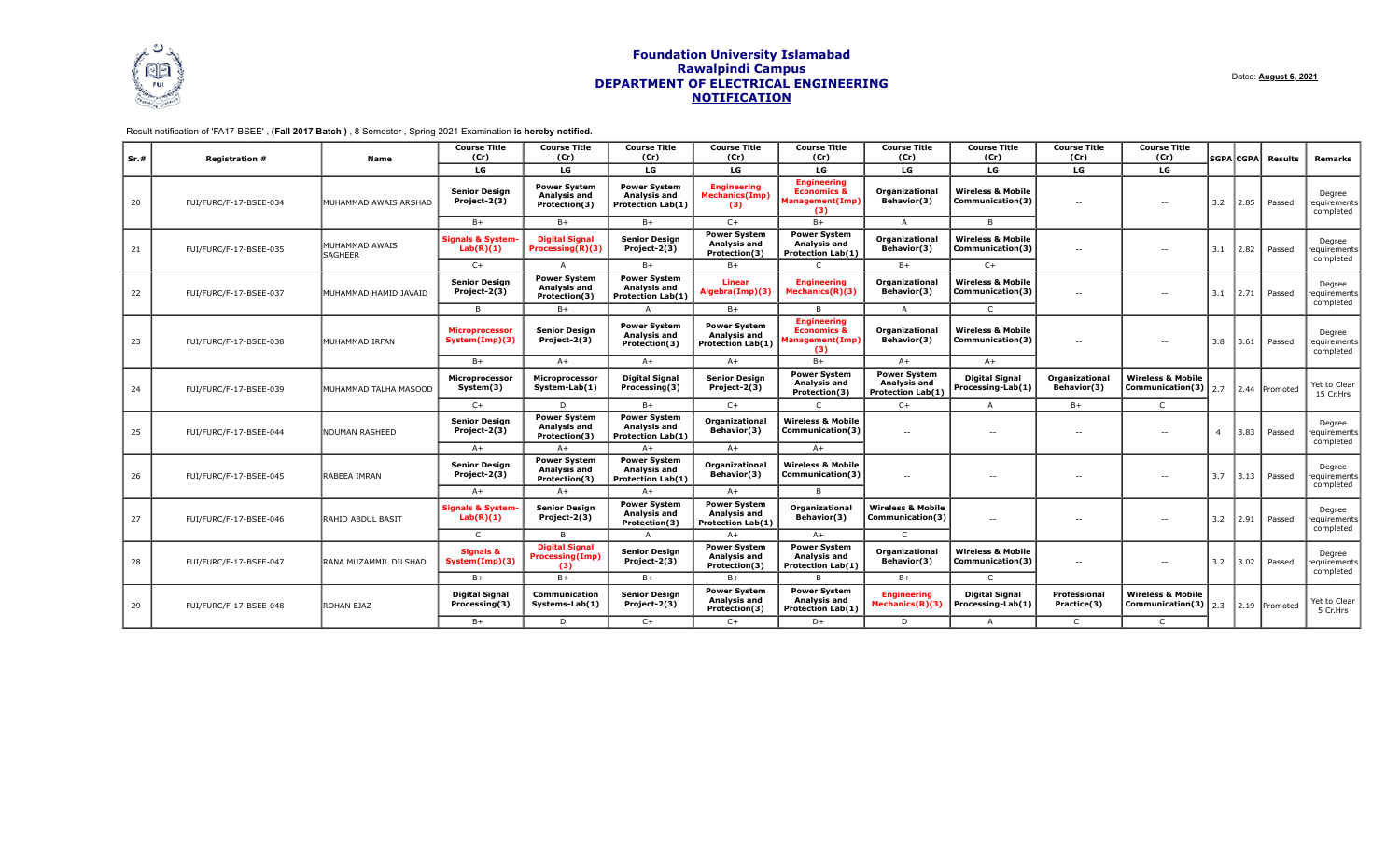

## Result notification of 'FA17-BSEE' , **(Fall 2017 Batch )** , 8 Semester , Spring 2021 Examination **is hereby notified.**

| Sr.# | <b>Registration #</b>  | Name                             | <b>Course Title</b><br>(Cr)               | <b>Course Title</b><br>(Cr)                            | <b>Course Title</b><br>(Cr)                                            | <b>Course Title</b><br>(Cr)                                            | <b>Course Title</b><br>(Cr)                                                   | <b>Course Title</b><br>(Cr)                                     | <b>Course Title</b><br>(Cr)                      | <b>Course Title</b><br>(Cr)   | <b>Course Title</b><br>(Cr)                              |                | SGPA CGPA | <b>Results</b> | Remarks                              |              |      |        |                                     |        |                                     |
|------|------------------------|----------------------------------|-------------------------------------------|--------------------------------------------------------|------------------------------------------------------------------------|------------------------------------------------------------------------|-------------------------------------------------------------------------------|-----------------------------------------------------------------|--------------------------------------------------|-------------------------------|----------------------------------------------------------|----------------|-----------|----------------|--------------------------------------|--------------|------|--------|-------------------------------------|--------|-------------------------------------|
|      |                        |                                  | LG                                        | LG                                                     | LG                                                                     | LG                                                                     | LG                                                                            | LG                                                              | LG                                               | LG                            | LG                                                       |                |           |                |                                      |              |      |        |                                     |        |                                     |
| 20   | FUI/FURC/F-17-BSEE-034 | MUHAMMAD AWAIS ARSHAD            | <b>Senior Design</b><br>Project-2(3)      | <b>Power System</b><br>Analysis and<br>Protection(3)   | <b>Power System</b><br><b>Analysis and</b><br><b>Protection Lab(1)</b> | <b>Engineering</b><br><b>Mechanics(Imp)</b><br>(3)                     | <b>Engineering</b><br><b>Economics &amp;</b><br><b>Management(Imp)</b><br>(3) | Organizational<br>Behavior(3)                                   | <b>Wireless &amp; Mobile</b><br>Communication(3) | $\overline{a}$                |                                                          | 3.2            | 2.85      | Passed         | Degree<br>'equirements<br>completed  |              |      |        |                                     |        |                                     |
|      |                        |                                  | $B+$                                      | $B+$                                                   | $B+$                                                                   | $C+$                                                                   | $B+$                                                                          | $\mathsf{A}$                                                    | B                                                |                               |                                                          |                |           |                |                                      |              |      |        |                                     |        |                                     |
| 21   | FUI/FURC/F-17-BSEE-035 | MUHAMMAD AWAIS<br><b>SAGHEER</b> | <b>Signals &amp; System-</b><br>Lab(R)(1) | <b>Digital Signal</b><br>Processing(R)(3)              | <b>Senior Design</b><br>Project-2(3)                                   | <b>Power System</b><br><b>Analysis and</b><br>Protection(3)            | <b>Power System</b><br>Analysis and<br><b>Protection Lab(1)</b>               | <b>Organizational</b><br>Behavior(3)                            | <b>Wireless &amp; Mobile</b><br>Communication(3) | $\sim$ $-$                    |                                                          |                |           |                | $\sim$ $-$                           | 3.1          | 2.82 | Passed | Degree<br>requirements<br>completed |        |                                     |
|      |                        |                                  | $C+$                                      | A                                                      | $B+$                                                                   | $B+$                                                                   |                                                                               | $B+$                                                            | $C+$                                             |                               |                                                          |                |           |                |                                      |              |      |        |                                     |        |                                     |
| 22   | FUI/FURC/F-17-BSEE-037 | MUHAMMAD HAMID JAVAID            | <b>Senior Design</b><br>Project-2(3)      | <b>Power System</b><br>Analysis and<br>Protection(3)   | <b>Power System</b><br>Analysis and<br><b>Protection Lab(1)</b>        | <b>Linear</b><br>Algebra(Imp)(3)                                       | <b>Engineering</b><br>Mechanics(R)(3)                                         | Organizational<br>Behavior(3)                                   | <b>Wireless &amp; Mobile</b><br>Communication(3) | $-1$                          |                                                          |                |           |                |                                      |              |      | 3.1    | 2.71                                | Passed | Degree<br>'equirements<br>completed |
|      |                        |                                  | B                                         | $B+$                                                   |                                                                        | $B+$                                                                   | B.                                                                            | $\overline{A}$                                                  | $\mathsf{C}$                                     |                               |                                                          |                |           |                |                                      |              |      |        |                                     |        |                                     |
| 23   | FUI/FURC/F-17-BSEE-038 | MUHAMMAD IRFAN                   | <b>Microprocessor</b><br>System(Imp)(3)   | <b>Senior Design</b><br>Project-2(3)                   | <b>Power System</b><br>Analysis and<br>Protection(3)                   | <b>Power System</b><br><b>Analysis and</b><br><b>Protection Lab(1)</b> | <b>Engineering</b><br><b>Economics &amp;</b><br>  Management(Imp<br>(3)       | <b>Organizational</b><br>Behavior(3)                            | <b>Wireless &amp; Mobile</b><br>Communication(3) | $\sim$ $-$                    | $\sim$ $-$                                               | 3.8            | 3.61      | Passed         | Degree<br>requirements<br>completed  |              |      |        |                                     |        |                                     |
|      |                        |                                  | $B+$                                      | $A+$                                                   | $A+$                                                                   | $A+$                                                                   | $B+$                                                                          | $A+$                                                            | $A+$                                             |                               |                                                          |                |           |                |                                      |              |      |        |                                     |        |                                     |
| 24   | FUI/FURC/F-17-BSEE-039 | MUHAMMAD TALHA MASOOD            | Microprocessor<br>System(3)               | Microprocessor<br>System-Lab(1)                        | <b>Digital Signal</b><br>Processing(3)                                 | <b>Senior Design</b><br>Project-2(3)                                   | <b>Power System</b><br>Analysis and<br>Protection(3)                          | <b>Power System</b><br>Analysis and<br><b>Protection Lab(1)</b> | <b>Digital Signal</b><br>Processing-Lab(1)       | Organizational<br>Behavior(3) | <b>Wireless &amp; Mobile</b><br>Communication(3)         | $12.7$         |           | 2.44 Promoted  | Yet to Clear<br>15 Cr.Hrs            |              |      |        |                                     |        |                                     |
|      |                        |                                  | $C+$                                      | D                                                      | $B+$                                                                   | $C+$                                                                   | $\mathsf{C}$                                                                  | $C+$                                                            | $\mathsf{A}$                                     | $B+$                          | $\mathsf{C}$                                             |                |           |                |                                      |              |      |        |                                     |        |                                     |
| 25   | FUI/FURC/F-17-BSEE-044 | <b>NOUMAN RASHEED</b>            | <b>Senior Design</b><br>Project-2(3)      | <b>Power System</b><br>Analysis and<br>Protection(3)   | <b>Power System</b><br><b>Analysis and</b><br><b>Protection Lab(1)</b> | Organizational<br>Behavior(3)                                          | <b>Wireless &amp; Mobile</b><br>Communication(3)                              | $\overline{a}$                                                  | $\sim$ $-$                                       | $- -$                         | $-$                                                      | $\overline{a}$ | 3.83      | Passed         | Degree<br>requirements<br>completed  |              |      |        |                                     |        |                                     |
|      |                        |                                  | $A+$                                      | $A+$                                                   | $A+$                                                                   | $A+$                                                                   | $A+$                                                                          |                                                                 |                                                  |                               |                                                          |                |           |                |                                      |              |      |        |                                     |        |                                     |
| 26   | FUI/FURC/F-17-BSEE-045 | RABEEA IMRAN                     | <b>Senior Design</b><br>Project-2(3)      | <b>Power System</b><br>Analysis and<br>Protection(3)   | <b>Power System</b><br>Analysis and<br><b>Protection Lab(1)</b>        | Organizational<br>Behavior(3)                                          | <b>Wireless &amp; Mobile</b><br>Communication(3)                              | $\sim$ $\sim$                                                   | $\sim$ $-$                                       | $\sim$ $-$                    | $\overline{a}$                                           | 3.7            | 3.13      | Passed         | Degree<br>'equirements <br>completed |              |      |        |                                     |        |                                     |
|      |                        |                                  | $A+$                                      | $A+$                                                   | $A+$                                                                   | $A+$                                                                   | B                                                                             |                                                                 |                                                  |                               |                                                          |                |           |                |                                      |              |      |        |                                     |        |                                     |
| 27   | FUI/FURC/F-17-BSEE-046 | RAHID ABDUL BASIT                | <b>Signals &amp; System</b><br>Lab(R)(1)  | <b>Senior Design</b><br>Project-2(3)                   | <b>Power System</b><br>Analysis and<br>Protection(3)                   | <b>Power System</b><br>Analysis and<br><b>Protection Lab(1)</b>        | <b>Organizational</b><br>Behavior(3)                                          | <b>Wireless &amp; Mobile</b><br>Communication(3)                | $\sim$ $-$                                       |                               |                                                          | 3.2            | 2.91      | Passed         | Degree<br>requirements<br>completed  |              |      |        |                                     |        |                                     |
|      |                        |                                  | $\mathsf{C}$                              | <b>B</b>                                               | $\Delta$                                                               | $A+$                                                                   | $A+$                                                                          | $\mathsf{C}$                                                    |                                                  |                               |                                                          |                |           |                |                                      |              |      |        |                                     |        |                                     |
| 28   | FUI/FURC/F-17-BSEE-047 | RANA MUZAMMIL DILSHAD            | <b>Signals &amp;</b><br>System(Imp)(3)    | <b>Digital Signal</b><br><b>Processing(Imp)</b><br>(3) | <b>Senior Design</b><br>Project-2(3)                                   | <b>Power System</b><br><b>Analysis and</b><br>Protection(3)            | <b>Power System</b><br>Analysis and<br><b>Protection Lab(1)</b>               | <b>Organizational</b><br>Behavior(3)                            | <b>Wireless &amp; Mobile</b><br>Communication(3) | $\sim$ $-$                    | $\sim$ $-$                                               | 3.2            | 3.02      | Passed         | Degree<br>requirements<br>completed  |              |      |        |                                     |        |                                     |
|      |                        |                                  | $B+$                                      | $B+$                                                   | $B+$                                                                   | $B+$                                                                   |                                                                               | $B+$                                                            | $\Gamma$                                         |                               |                                                          |                |           |                |                                      |              |      |        |                                     |        |                                     |
| 29   | FUI/FURC/F-17-BSEE-048 | <b>ROHAN EJAZ</b>                | <b>Digital Signal</b><br>Processing(3)    | Communication<br>Systems-Lab(1)                        | <b>Senior Design</b><br>Project-2(3)                                   | <b>Power System</b><br>Analysis and<br>Protection(3)                   | <b>Power System</b><br>Analysis and<br><b>Protection Lab(1)</b>               | <b>Engineering</b><br><b>Mechanics(R)(3)</b>                    | <b>Digital Signal</b><br>Processing-Lab(1)       | Professional<br>Practice(3)   | <b>Wireless &amp; Mobile</b><br>Communication(3) $ 2.3 $ |                |           | 2.19 Promoted  | Yet to Clear<br>5 Cr.Hrs             |              |      |        |                                     |        |                                     |
|      |                        |                                  |                                           |                                                        |                                                                        |                                                                        |                                                                               | $B+$                                                            | D                                                | $C+$                          | $C+$                                                     | $D+$           | D         | $\overline{A}$ | $\mathsf{C}$                         | $\mathsf{C}$ |      |        |                                     |        |                                     |

Dated: **August 6, 2021**